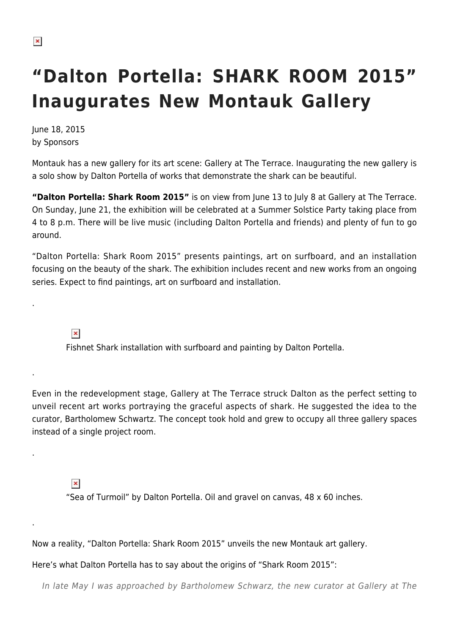## **"Dalton Portella: SHARK ROOM 2015" Inaugurates New Montauk Gallery**

June 18, 2015 by Sponsors

Montauk has a new gallery for its art scene: Gallery at The Terrace. Inaugurating the new gallery is a solo show by Dalton Portella of works that demonstrate the shark can be beautiful.

**"Dalton Portella: Shark Room 2015"** is on view from June 13 to July 8 at Gallery at The Terrace. On Sunday, June 21, the exhibition will be celebrated at a Summer Solstice Party taking place from 4 to 8 p.m. There will be live music (including Dalton Portella and friends) and plenty of fun to go around.

"Dalton Portella: Shark Room 2015" presents paintings, art on surfboard, and an installation focusing on the beauty of the shark. The exhibition includes recent and new works from an ongoing series. Expect to find paintings, art on surfboard and installation.

 $\pmb{\times}$ 

.

.

.

.

Fishnet Shark installation with surfboard and painting by Dalton Portella.

Even in the redevelopment stage, Gallery at The Terrace struck Dalton as the perfect setting to unveil recent art works portraying the graceful aspects of shark. He suggested the idea to the curator, Bartholomew Schwartz. The concept took hold and grew to occupy all three gallery spaces instead of a single project room.

 $\pmb{\times}$ 

"Sea of Turmoil" by Dalton Portella. Oil and gravel on canvas, 48 x 60 inches.

Now a reality, "Dalton Portella: Shark Room 2015" unveils the new Montauk art gallery.

Here's what Dalton Portella has to say about the origins of "Shark Room 2015":

In late May I was approached by Bartholomew Schwarz, the new curator at Gallery at The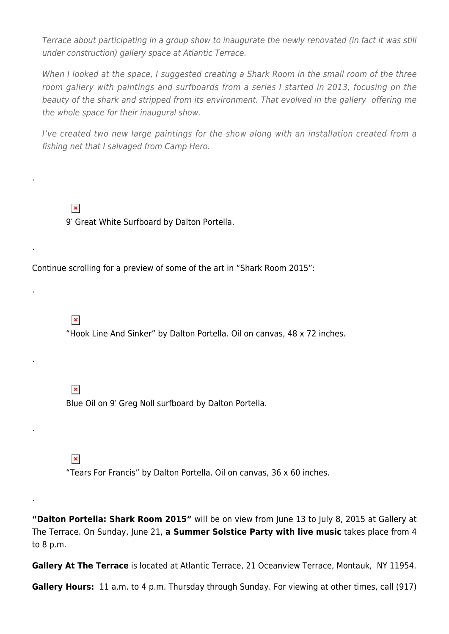Terrace about participating in a group show to inaugurate the newly renovated (in fact it was still under construction) gallery space at Atlantic Terrace.

When I looked at the space, I suggested creating a Shark Room in the small room of the three room gallery with paintings and surfboards from a series I started in 2013, focusing on the beauty of the shark and stripped from its environment. That evolved in the gallery offering me the whole space for their inaugural show.

I've created two new large paintings for the show along with an installation created from a fishing net that I salvaged from Camp Hero.

 $\pmb{\times}$ 9′ Great White Surfboard by Dalton Portella.

Continue scrolling for a preview of some of the art in "Shark Room 2015":

 $\pmb{\times}$ 

.

.

.

.

.

.

"Hook Line And Sinker" by Dalton Portella. Oil on canvas, 48 x 72 inches.

 $\pmb{\times}$ 

Blue Oil on 9′ Greg Noll surfboard by Dalton Portella.

 $\pmb{\times}$ 

"Tears For Francis" by Dalton Portella. Oil on canvas, 36 x 60 inches.

**"Dalton Portella: Shark Room 2015"** will be on view from June 13 to July 8, 2015 at Gallery at The Terrace. On Sunday, June 21, **a Summer Solstice Party with live music** takes place from 4 to 8 p.m.

Gallery At The Terrace is located at Atlantic Terrace, 21 Oceanview Terrace, Montauk, NY 11954.

**Gallery Hours:** 11 a.m. to 4 p.m. Thursday through Sunday. For viewing at other times, call (917)